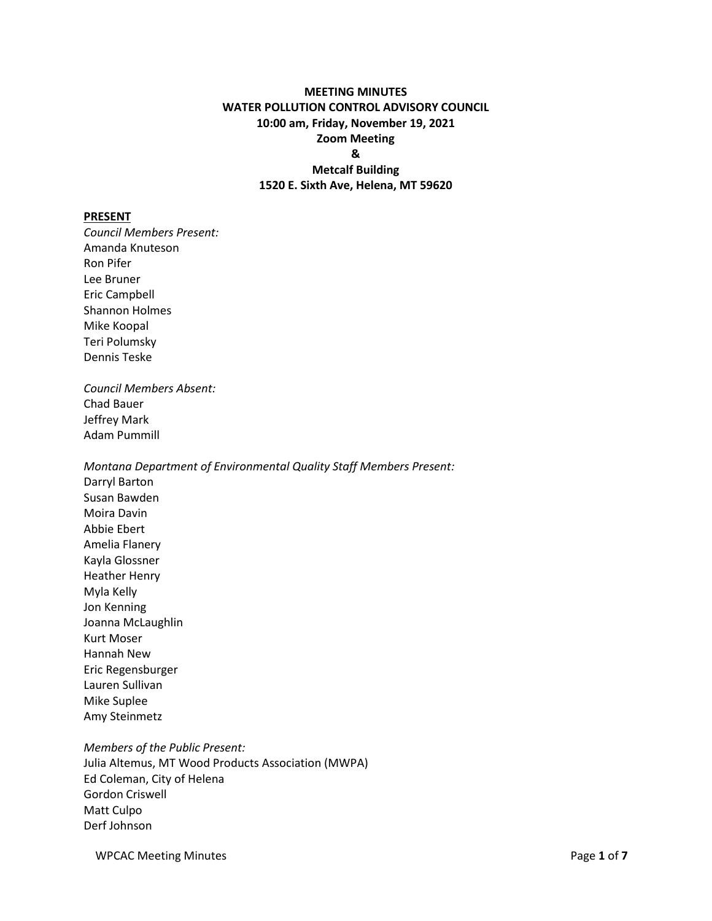# **MEETING MINUTES WATER POLLUTION CONTROL ADVISORY COUNCIL 10:00 am, Friday, November 19, 2021 Zoom Meeting & Metcalf Building 1520 E. Sixth Ave, Helena, MT 59620**

#### **PRESENT**

*Council Members Present:* Amanda Knuteson Ron Pifer Lee Bruner Eric Campbell Shannon Holmes Mike Koopal Teri Polumsky Dennis Teske *Council Members Absent:* Chad Bauer Jeffrey Mark Adam Pummill *Montana Department of Environmental Quality Staff Members Present:* Darryl Barton Susan Bawden Moira Davin Abbie Ebert Amelia Flanery Kayla Glossner Heather Henry Myla Kelly Jon Kenning Joanna McLaughlin Kurt Moser Hannah New Eric Regensburger Lauren Sullivan Mike Suplee Amy Steinmetz

*Members of the Public Present:* Julia Altemus, MT Wood Products Association (MWPA) Ed Coleman, City of Helena Gordon Criswell Matt Culpo Derf Johnson

WPCAC Meeting Minutes **Page 1** of **7** and 2 and 2 and 2 and 2 and 2 and 2 and 2 and 2 and 2 and 2 and 2 and 2 and 2 and 2 and 2 and 2 and 2 and 2 and 2 and 2 and 2 and 2 and 2 and 2 and 2 and 2 and 2 and 2 and 2 and 2 and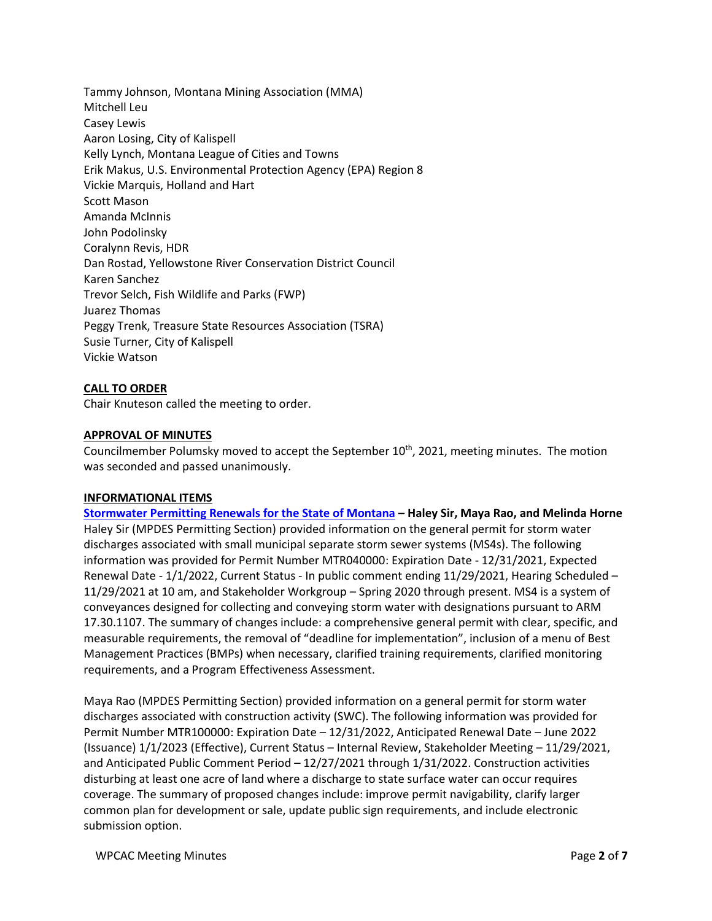Tammy Johnson, Montana Mining Association (MMA) Mitchell Leu Casey Lewis Aaron Losing, City of Kalispell Kelly Lynch, Montana League of Cities and Towns Erik Makus, U.S. Environmental Protection Agency (EPA) Region 8 Vickie Marquis, Holland and Hart Scott Mason Amanda McInnis John Podolinsky Coralynn Revis, HDR Dan Rostad, Yellowstone River Conservation District Council Karen Sanchez Trevor Selch, Fish Wildlife and Parks (FWP) Juarez Thomas Peggy Trenk, Treasure State Resources Association (TSRA) Susie Turner, City of Kalispell Vickie Watson

## **CALL TO ORDER**

Chair Knuteson called the meeting to order.

### **APPROVAL OF MINUTES**

Councilmember Polumsky moved to accept the September  $10^{th}$ , 2021, meeting minutes. The motion was seconded and passed unanimously.

#### **INFORMATIONAL ITEMS**

**[Stormwater Permitting Renewals for the State of Montana](https://deq.mt.gov/files/Water/WQInfo/Documents/2021%20Public%20Notices/WPCAC/11-19-21_Meeting%20Presentations/Permitting%20Storm%20Water%20in%20Montana.pdf) – Haley Sir, Maya Rao, and Melinda Horne** Haley Sir (MPDES Permitting Section) provided information on the general permit for storm water discharges associated with small municipal separate storm sewer systems (MS4s). The following information was provided for Permit Number MTR040000: Expiration Date - 12/31/2021, Expected Renewal Date - 1/1/2022, Current Status - In public comment ending 11/29/2021, Hearing Scheduled – 11/29/2021 at 10 am, and Stakeholder Workgroup – Spring 2020 through present. MS4 is a system of conveyances designed for collecting and conveying storm water with designations pursuant to ARM 17.30.1107. The summary of changes include: a comprehensive general permit with clear, specific, and measurable requirements, the removal of "deadline for implementation", inclusion of a menu of Best Management Practices (BMPs) when necessary, clarified training requirements, clarified monitoring requirements, and a Program Effectiveness Assessment.

Maya Rao (MPDES Permitting Section) provided information on a general permit for storm water discharges associated with construction activity (SWC). The following information was provided for Permit Number MTR100000: Expiration Date – 12/31/2022, Anticipated Renewal Date – June 2022 (Issuance) 1/1/2023 (Effective), Current Status – Internal Review, Stakeholder Meeting – 11/29/2021, and Anticipated Public Comment Period – 12/27/2021 through 1/31/2022. Construction activities disturbing at least one acre of land where a discharge to state surface water can occur requires coverage. The summary of proposed changes include: improve permit navigability, clarify larger common plan for development or sale, update public sign requirements, and include electronic submission option.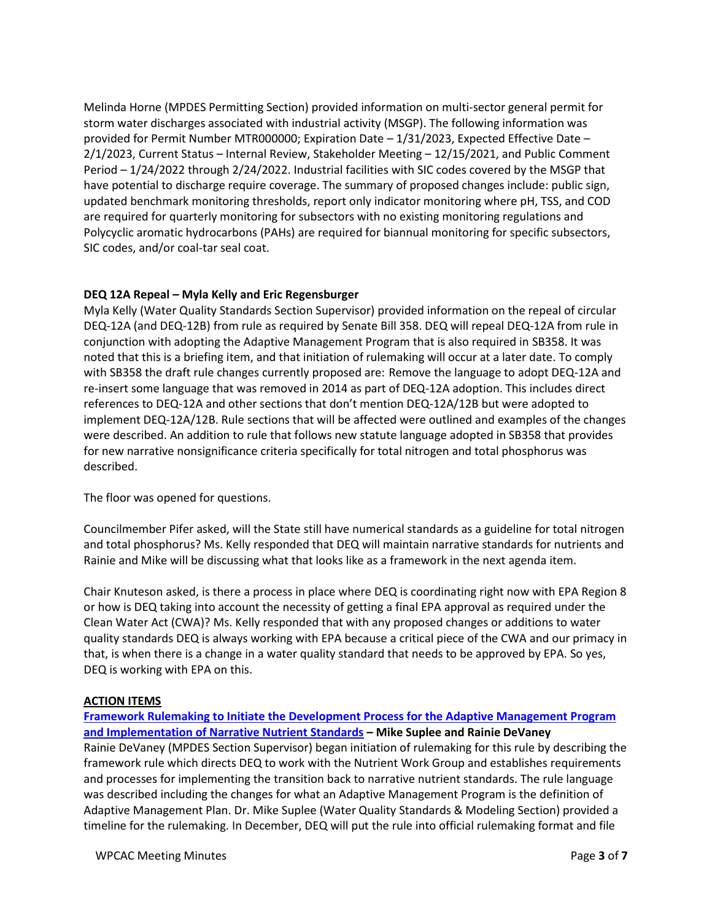Melinda Horne (MPDES Permitting Section) provided information on multi-sector general permit for storm water discharges associated with industrial activity (MSGP). The following information was provided for Permit Number MTR000000; Expiration Date – 1/31/2023, Expected Effective Date – 2/1/2023, Current Status – Internal Review, Stakeholder Meeting – 12/15/2021, and Public Comment Period – 1/24/2022 through 2/24/2022. Industrial facilities with SIC codes covered by the MSGP that have potential to discharge require coverage. The summary of proposed changes include: public sign, updated benchmark monitoring thresholds, report only indicator monitoring where pH, TSS, and COD are required for quarterly monitoring for subsectors with no existing monitoring regulations and Polycyclic aromatic hydrocarbons (PAHs) are required for biannual monitoring for specific subsectors, SIC codes, and/or coal-tar seal coat.

## **DEQ 12A Repeal – Myla Kelly and Eric Regensburger**

Myla Kelly (Water Quality Standards Section Supervisor) provided information on the repeal of circular DEQ-12A (and DEQ-12B) from rule as required by Senate Bill 358. DEQ will repeal DEQ-12A from rule in conjunction with adopting the Adaptive Management Program that is also required in SB358. It was noted that this is a briefing item, and that initiation of rulemaking will occur at a later date. To comply with SB358 the draft rule changes currently proposed are: Remove the language to adopt DEQ-12A and re-insert some language that was removed in 2014 as part of DEQ-12A adoption. This includes direct references to DEQ-12A and other sections that don't mention DEQ-12A/12B but were adopted to implement DEQ-12A/12B. Rule sections that will be affected were outlined and examples of the changes were described. An addition to rule that follows new statute language adopted in SB358 that provides for new narrative nonsignificance criteria specifically for total nitrogen and total phosphorus was described.

The floor was opened for questions.

Councilmember Pifer asked, will the State still have numerical standards as a guideline for total nitrogen and total phosphorus? Ms. Kelly responded that DEQ will maintain narrative standards for nutrients and Rainie and Mike will be discussing what that looks like as a framework in the next agenda item.

Chair Knuteson asked, is there a process in place where DEQ is coordinating right now with EPA Region 8 or how is DEQ taking into account the necessity of getting a final EPA approval as required under the Clean Water Act (CWA)? Ms. Kelly responded that with any proposed changes or additions to water quality standards DEQ is always working with EPA because a critical piece of the CWA and our primacy in that, is when there is a change in a water quality standard that needs to be approved by EPA. So yes, DEQ is working with EPA on this.

# **ACTION ITEMS**

# **[Framework Rulemaking to Initiate the Development Process for the Adaptive Management Program](https://deq.mt.gov/files/Water/WQInfo/Documents/2021%20Public%20Notices/WPCAC/11-19-21_Meeting%20Presentations/FrameworkDraftRules_SB358_v4_11.04.2021.pdf)  [and Implementation of Narrative Nutrient Standards](https://deq.mt.gov/files/Water/WQInfo/Documents/2021%20Public%20Notices/WPCAC/11-19-21_Meeting%20Presentations/FrameworkDraftRules_SB358_v4_11.04.2021.pdf) – Mike Suplee and Rainie DeVaney**  Rainie DeVaney (MPDES Section Supervisor) began initiation of rulemaking for this rule by describing the framework rule which directs DEQ to work with the Nutrient Work Group and establishes requirements and processes for implementing the transition back to narrative nutrient standards. The rule language was described including the changes for what an Adaptive Management Program is the definition of Adaptive Management Plan. Dr. Mike Suplee (Water Quality Standards & Modeling Section) provided a timeline for the rulemaking. In December, DEQ will put the rule into official rulemaking format and file

WPCAC Meeting Minutes **Page 3** of **7**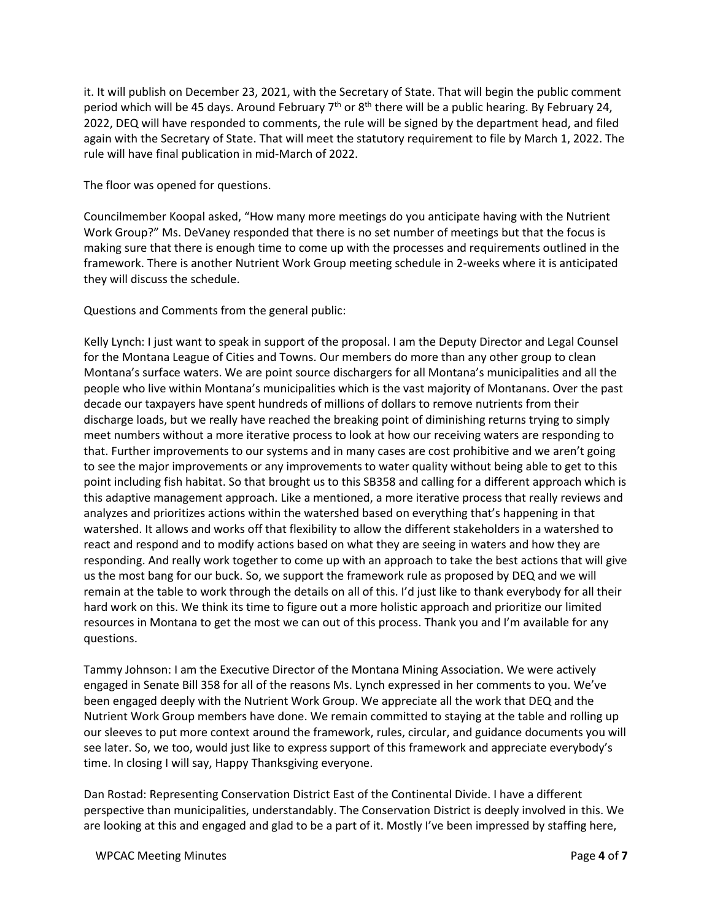it. It will publish on December 23, 2021, with the Secretary of State. That will begin the public comment period which will be 45 days. Around February  $7<sup>th</sup>$  or  $8<sup>th</sup>$  there will be a public hearing. By February 24, 2022, DEQ will have responded to comments, the rule will be signed by the department head, and filed again with the Secretary of State. That will meet the statutory requirement to file by March 1, 2022. The rule will have final publication in mid-March of 2022.

The floor was opened for questions.

Councilmember Koopal asked, "How many more meetings do you anticipate having with the Nutrient Work Group?" Ms. DeVaney responded that there is no set number of meetings but that the focus is making sure that there is enough time to come up with the processes and requirements outlined in the framework. There is another Nutrient Work Group meeting schedule in 2-weeks where it is anticipated they will discuss the schedule.

Questions and Comments from the general public:

Kelly Lynch: I just want to speak in support of the proposal. I am the Deputy Director and Legal Counsel for the Montana League of Cities and Towns. Our members do more than any other group to clean Montana's surface waters. We are point source dischargers for all Montana's municipalities and all the people who live within Montana's municipalities which is the vast majority of Montanans. Over the past decade our taxpayers have spent hundreds of millions of dollars to remove nutrients from their discharge loads, but we really have reached the breaking point of diminishing returns trying to simply meet numbers without a more iterative process to look at how our receiving waters are responding to that. Further improvements to our systems and in many cases are cost prohibitive and we aren't going to see the major improvements or any improvements to water quality without being able to get to this point including fish habitat. So that brought us to this SB358 and calling for a different approach which is this adaptive management approach. Like a mentioned, a more iterative process that really reviews and analyzes and prioritizes actions within the watershed based on everything that's happening in that watershed. It allows and works off that flexibility to allow the different stakeholders in a watershed to react and respond and to modify actions based on what they are seeing in waters and how they are responding. And really work together to come up with an approach to take the best actions that will give us the most bang for our buck. So, we support the framework rule as proposed by DEQ and we will remain at the table to work through the details on all of this. I'd just like to thank everybody for all their hard work on this. We think its time to figure out a more holistic approach and prioritize our limited resources in Montana to get the most we can out of this process. Thank you and I'm available for any questions.

Tammy Johnson: I am the Executive Director of the Montana Mining Association. We were actively engaged in Senate Bill 358 for all of the reasons Ms. Lynch expressed in her comments to you. We've been engaged deeply with the Nutrient Work Group. We appreciate all the work that DEQ and the Nutrient Work Group members have done. We remain committed to staying at the table and rolling up our sleeves to put more context around the framework, rules, circular, and guidance documents you will see later. So, we too, would just like to express support of this framework and appreciate everybody's time. In closing I will say, Happy Thanksgiving everyone.

Dan Rostad: Representing Conservation District East of the Continental Divide. I have a different perspective than municipalities, understandably. The Conservation District is deeply involved in this. We are looking at this and engaged and glad to be a part of it. Mostly I've been impressed by staffing here,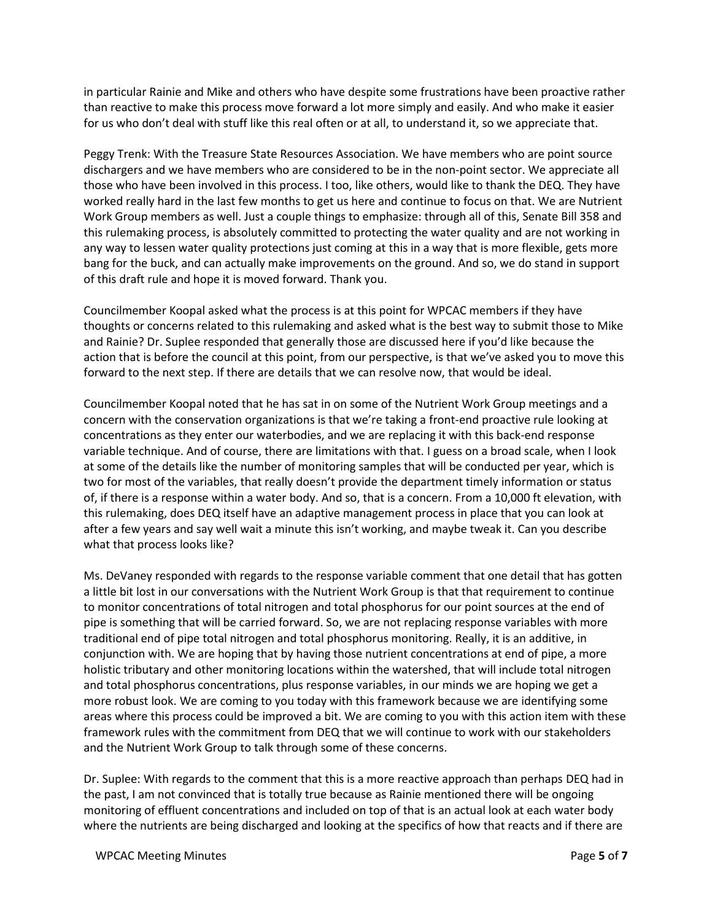in particular Rainie and Mike and others who have despite some frustrations have been proactive rather than reactive to make this process move forward a lot more simply and easily. And who make it easier for us who don't deal with stuff like this real often or at all, to understand it, so we appreciate that.

Peggy Trenk: With the Treasure State Resources Association. We have members who are point source dischargers and we have members who are considered to be in the non-point sector. We appreciate all those who have been involved in this process. I too, like others, would like to thank the DEQ. They have worked really hard in the last few months to get us here and continue to focus on that. We are Nutrient Work Group members as well. Just a couple things to emphasize: through all of this, Senate Bill 358 and this rulemaking process, is absolutely committed to protecting the water quality and are not working in any way to lessen water quality protections just coming at this in a way that is more flexible, gets more bang for the buck, and can actually make improvements on the ground. And so, we do stand in support of this draft rule and hope it is moved forward. Thank you.

Councilmember Koopal asked what the process is at this point for WPCAC members if they have thoughts or concerns related to this rulemaking and asked what is the best way to submit those to Mike and Rainie? Dr. Suplee responded that generally those are discussed here if you'd like because the action that is before the council at this point, from our perspective, is that we've asked you to move this forward to the next step. If there are details that we can resolve now, that would be ideal.

Councilmember Koopal noted that he has sat in on some of the Nutrient Work Group meetings and a concern with the conservation organizations is that we're taking a front-end proactive rule looking at concentrations as they enter our waterbodies, and we are replacing it with this back-end response variable technique. And of course, there are limitations with that. I guess on a broad scale, when I look at some of the details like the number of monitoring samples that will be conducted per year, which is two for most of the variables, that really doesn't provide the department timely information or status of, if there is a response within a water body. And so, that is a concern. From a 10,000 ft elevation, with this rulemaking, does DEQ itself have an adaptive management process in place that you can look at after a few years and say well wait a minute this isn't working, and maybe tweak it. Can you describe what that process looks like?

Ms. DeVaney responded with regards to the response variable comment that one detail that has gotten a little bit lost in our conversations with the Nutrient Work Group is that that requirement to continue to monitor concentrations of total nitrogen and total phosphorus for our point sources at the end of pipe is something that will be carried forward. So, we are not replacing response variables with more traditional end of pipe total nitrogen and total phosphorus monitoring. Really, it is an additive, in conjunction with. We are hoping that by having those nutrient concentrations at end of pipe, a more holistic tributary and other monitoring locations within the watershed, that will include total nitrogen and total phosphorus concentrations, plus response variables, in our minds we are hoping we get a more robust look. We are coming to you today with this framework because we are identifying some areas where this process could be improved a bit. We are coming to you with this action item with these framework rules with the commitment from DEQ that we will continue to work with our stakeholders and the Nutrient Work Group to talk through some of these concerns.

Dr. Suplee: With regards to the comment that this is a more reactive approach than perhaps DEQ had in the past, I am not convinced that is totally true because as Rainie mentioned there will be ongoing monitoring of effluent concentrations and included on top of that is an actual look at each water body where the nutrients are being discharged and looking at the specifics of how that reacts and if there are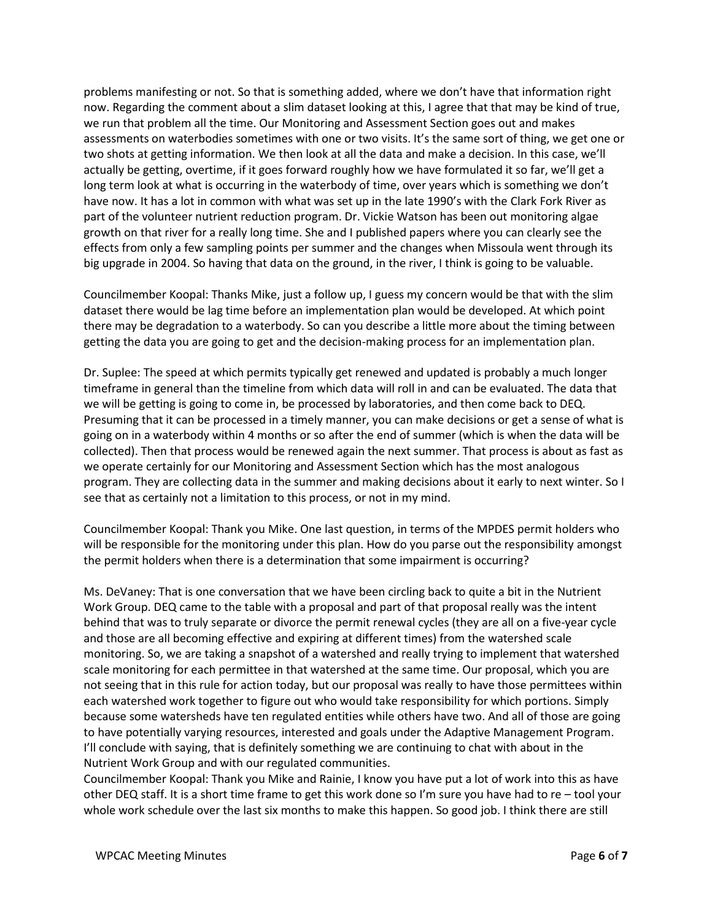problems manifesting or not. So that is something added, where we don't have that information right now. Regarding the comment about a slim dataset looking at this, I agree that that may be kind of true, we run that problem all the time. Our Monitoring and Assessment Section goes out and makes assessments on waterbodies sometimes with one or two visits. It's the same sort of thing, we get one or two shots at getting information. We then look at all the data and make a decision. In this case, we'll actually be getting, overtime, if it goes forward roughly how we have formulated it so far, we'll get a long term look at what is occurring in the waterbody of time, over years which is something we don't have now. It has a lot in common with what was set up in the late 1990's with the Clark Fork River as part of the volunteer nutrient reduction program. Dr. Vickie Watson has been out monitoring algae growth on that river for a really long time. She and I published papers where you can clearly see the effects from only a few sampling points per summer and the changes when Missoula went through its big upgrade in 2004. So having that data on the ground, in the river, I think is going to be valuable.

Councilmember Koopal: Thanks Mike, just a follow up, I guess my concern would be that with the slim dataset there would be lag time before an implementation plan would be developed. At which point there may be degradation to a waterbody. So can you describe a little more about the timing between getting the data you are going to get and the decision-making process for an implementation plan.

Dr. Suplee: The speed at which permits typically get renewed and updated is probably a much longer timeframe in general than the timeline from which data will roll in and can be evaluated. The data that we will be getting is going to come in, be processed by laboratories, and then come back to DEQ. Presuming that it can be processed in a timely manner, you can make decisions or get a sense of what is going on in a waterbody within 4 months or so after the end of summer (which is when the data will be collected). Then that process would be renewed again the next summer. That process is about as fast as we operate certainly for our Monitoring and Assessment Section which has the most analogous program. They are collecting data in the summer and making decisions about it early to next winter. So I see that as certainly not a limitation to this process, or not in my mind.

Councilmember Koopal: Thank you Mike. One last question, in terms of the MPDES permit holders who will be responsible for the monitoring under this plan. How do you parse out the responsibility amongst the permit holders when there is a determination that some impairment is occurring?

Ms. DeVaney: That is one conversation that we have been circling back to quite a bit in the Nutrient Work Group. DEQ came to the table with a proposal and part of that proposal really was the intent behind that was to truly separate or divorce the permit renewal cycles (they are all on a five-year cycle and those are all becoming effective and expiring at different times) from the watershed scale monitoring. So, we are taking a snapshot of a watershed and really trying to implement that watershed scale monitoring for each permittee in that watershed at the same time. Our proposal, which you are not seeing that in this rule for action today, but our proposal was really to have those permittees within each watershed work together to figure out who would take responsibility for which portions. Simply because some watersheds have ten regulated entities while others have two. And all of those are going to have potentially varying resources, interested and goals under the Adaptive Management Program. I'll conclude with saying, that is definitely something we are continuing to chat with about in the Nutrient Work Group and with our regulated communities.

Councilmember Koopal: Thank you Mike and Rainie, I know you have put a lot of work into this as have other DEQ staff. It is a short time frame to get this work done so I'm sure you have had to re – tool your whole work schedule over the last six months to make this happen. So good job. I think there are still